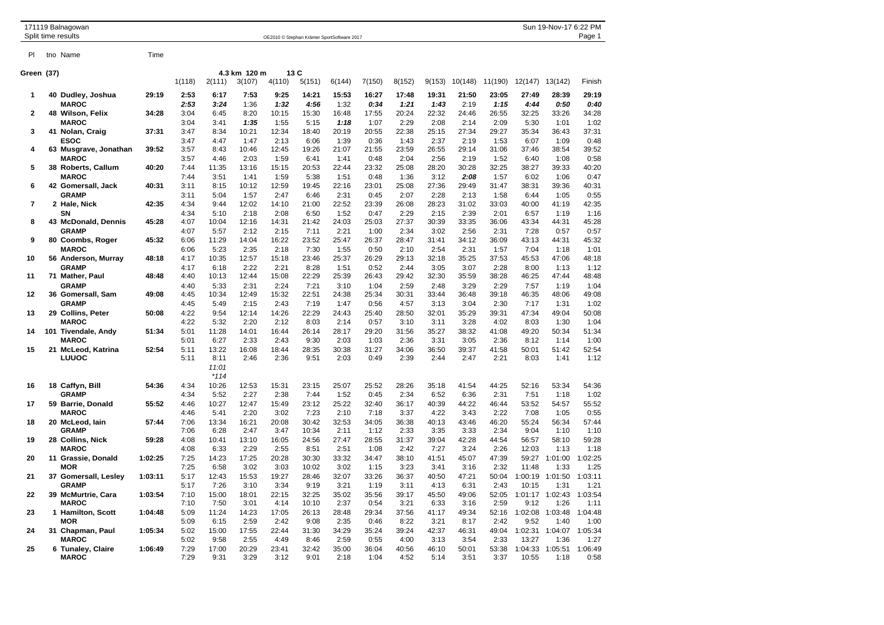|            | 171119 Balnagowan<br>Split time results | Sun 19-Nov-17 6:22 PM<br>Page 1<br>OE2010 © Stephan Krämer SportSoftware 2017 |              |                                  |                        |                          |               |               |               |               |               |               |               |                  |                 |                 |
|------------|-----------------------------------------|-------------------------------------------------------------------------------|--------------|----------------------------------|------------------------|--------------------------|---------------|---------------|---------------|---------------|---------------|---------------|---------------|------------------|-----------------|-----------------|
| PI         | tno Name                                | Time                                                                          |              |                                  |                        |                          |               |               |               |               |               |               |               |                  |                 |                 |
| Green (37) |                                         |                                                                               | 1(118)       | 2(111)                           | 4.3 km 120 m<br>3(107) | 13 C<br>4(110)<br>5(151) |               | 6(144)        | 7(150)        | 8(152)        | 9(153)        | 10(148)       | 11(190)       | 12(147)          | 13(142)         | Finish          |
| 1          | 40 Dudley, Joshua                       | 29:19                                                                         | 2:53         | 6:17                             | 7:53                   | 9:25                     | 14:21         | 15:53         | 16:27         | 17:48         | 19:31         | 21:50         | 23:05         | 27:49            | 28:39           | 29:19           |
| 2          | <b>MAROC</b><br>48 Wilson, Felix        | 34:28                                                                         | 2:53<br>3:04 | 3:24<br>6:45                     | 1:36<br>8:20           | 1:32<br>10:15            | 4:56<br>15:30 | 1:32<br>16:48 | 0:34<br>17:55 | 1:21<br>20:24 | 1:43<br>22:32 | 2:19<br>24:46 | 1:15<br>26:55 | 4:44<br>32:25    | 0:50<br>33:26   | 0:40<br>34:28   |
|            | <b>MAROC</b>                            |                                                                               | 3:04         | 3:41                             | 1:35                   | 1:55                     | 5:15          | 1:18          | 1:07          | 2:29          | 2:08          | 2:14          | 2:09          | 5:30             | 1:01            | 1:02            |
| 3          | 41 Nolan, Craig                         | 37:31                                                                         | 3:47         | 8:34                             | 10:21                  | 12:34                    | 18:40         | 20:19         | 20:55         | 22:38         | 25:15         | 27:34         | 29:27         | 35:34            | 36:43           | 37:31           |
|            | <b>ESOC</b>                             |                                                                               | 3:47         | 4:47                             | 1:47                   | 2:13                     | 6:06          | 1:39          | 0:36          | 1:43          | 2:37          | 2:19          | 1:53          | 6:07             | 1:09            | 0:48            |
| 4          | 63 Musgrave, Jonathan                   | 39:52                                                                         | 3:57         | 8:43                             | 10:46                  | 12:45                    | 19:26         | 21:07         | 21:55         | 23:59         | 26:55         | 29:14         | 31:06         | 37:46            | 38:54           | 39:52           |
|            | <b>MAROC</b>                            |                                                                               | 3:57         | 4:46                             | 2:03                   | 1:59                     | 6:41          | 1:41          | 0:48          | 2:04          | 2:56          | 2:19          | 1:52          | 6:40             | 1:08            | 0:58            |
| 5          | 38 Roberts, Callum                      | 40:20                                                                         | 7:44         | 11:35                            | 13:16                  | 15:15                    | 20:53         | 22:44         | 23:32         | 25:08         | 28:20         | 30:28         | 32:25         | 38:27            | 39:33           | 40:20           |
| 6          | <b>MAROC</b><br>42 Gomersall, Jack      | 40:31                                                                         | 7:44<br>3:11 | 3:51<br>8:15                     | 1:41<br>10:12          | 1:59<br>12:59            | 5:38<br>19:45 | 1:51<br>22:16 | 0:48<br>23:01 | 1:36<br>25:08 | 3:12<br>27:36 | 2:08<br>29:49 | 1:57<br>31:47 | 6:02<br>38:31    | 1:06<br>39:36   | 0:47<br>40:31   |
|            | <b>GRAMP</b>                            |                                                                               | 3:11         | 5:04                             | 1:57                   | 2:47                     | 6:46          | 2:31          | 0:45          | 2:07          | 2:28          | 2:13          | 1:58          | 6:44             | 1:05            | 0:55            |
| 7          | 2 Hale, Nick                            | 42:35                                                                         | 4:34         | 9:44                             | 12:02                  | 14:10                    | 21:00         | 22:52         | 23:39         | 26:08         | 28:23         | 31:02         | 33:03         | 40:00            | 41:19           | 42:35           |
|            | SN                                      |                                                                               | 4:34         | 5:10                             | 2:18                   | 2:08                     | 6:50          | 1:52          | 0:47          | 2:29          | 2:15          | 2:39          | 2:01          | 6:57             | 1:19            | 1:16            |
| 8          | 43 McDonald, Dennis                     | 45:28                                                                         | 4:07         | 10:04                            | 12:16                  | 14:31                    | 21:42         | 24:03         | 25:03         | 27:37         | 30:39         | 33:35         | 36:06         | 43:34            | 44:31           | 45:28           |
|            | <b>GRAMP</b>                            |                                                                               | 4:07         | 5:57                             | 2:12                   | 2:15                     | 7:11          | 2:21          | 1:00          | 2:34          | 3:02          | 2:56          | 2:31          | 7:28             | 0:57            | 0:57            |
| 9          | 80 Coombs, Roger                        | 45:32                                                                         | 6:06         | 11:29                            | 14:04                  | 16:22                    | 23:52         | 25:47         | 26:37         | 28:47         | 31:41         | 34:12         | 36:09         | 43:13            | 44:31           | 45:32           |
|            | <b>MAROC</b>                            |                                                                               | 6:06         | 5:23                             | 2:35                   | 2:18                     | 7:30          | 1:55          | 0:50          | 2:10          | 2:54          | 2:31          | 1:57          | 7:04             | 1:18            | 1:01            |
| 10         | 56 Anderson, Murray<br><b>GRAMP</b>     | 48:18                                                                         | 4:17<br>4:17 | 10:35<br>6:18                    | 12:57<br>2:22          | 15:18<br>2:21            | 23:46<br>8:28 | 25:37<br>1:51 | 26:29<br>0:52 | 29:13<br>2:44 | 32:18<br>3:05 | 35:25<br>3:07 | 37:53<br>2:28 | 45:53<br>8:00    | 47:06<br>1:13   | 48:18<br>1:12   |
| 11         | 71 Mather, Paul                         | 48:48                                                                         | 4:40         | 10:13                            | 12:44                  | 15:08                    | 22:29         | 25:39         | 26:43         | 29:42         | 32:30         | 35:59         | 38:28         | 46:25            | 47:44           | 48:48           |
|            | <b>GRAMP</b>                            |                                                                               | 4:40         | 5:33                             | 2:31                   | 2:24                     | 7:21          | 3:10          | 1:04          | 2:59          | 2:48          | 3:29          | 2:29          | 7:57             | 1:19            | 1:04            |
| 12         | 36 Gomersall, Sam                       | 49:08                                                                         | 4:45         | 10:34                            | 12:49                  | 15:32                    | 22:51         | 24:38         | 25:34         | 30:31         | 33:44         | 36:48         | 39:18         | 46:35            | 48:06           | 49:08           |
|            | <b>GRAMP</b>                            |                                                                               | 4:45         | 5:49                             | 2:15                   | 2:43                     | 7:19          | 1:47          | 0:56          | 4:57          | 3:13          | 3:04          | 2:30          | 7:17             | 1:31            | 1:02            |
| 13         | 29 Collins, Peter                       | 50:08                                                                         | 4:22         | 9:54                             | 12:14                  | 14:26                    | 22:29         | 24:43         | 25:40         | 28:50         | 32:01         | 35:29         | 39:31         | 47:34            | 49:04           | 50:08           |
|            | <b>MAROC</b>                            |                                                                               | 4:22         | 5:32                             | 2:20                   | 2:12                     | 8:03          | 2:14          | 0:57          | 3:10          | 3:11          | 3:28          | 4:02          | 8:03             | 1:30            | 1:04            |
| 14         | 101 Tivendale, Andy                     | 51:34                                                                         | 5:01         | 11:28                            | 14:01                  | 16:44                    | 26:14         | 28:17         | 29:20         | 31:56         | 35:27         | 38:32         | 41:08         | 49:20            | 50:34           | 51:34           |
|            | <b>MAROC</b>                            |                                                                               | 5:01         | 6:27                             | 2:33                   | 2:43                     | 9:30          | 2:03          | 1:03          | 2:36          | 3:31          | 3:05          | 2:36          | 8:12             | 1:14            | 1:00            |
| 15         | 21 McLeod, Katrina<br><b>LUUOC</b>      | 52:54                                                                         | 5:11<br>5:11 | 13:22<br>8:11<br>11:01<br>$*114$ | 16:08<br>2:46          | 18:44<br>2:36            | 28:35<br>9:51 | 30:38<br>2:03 | 31:27<br>0:49 | 34:06<br>2:39 | 36:50<br>2:44 | 39:37<br>2:47 | 41:58<br>2:21 | 50:01<br>8:03    | 51:42<br>1:41   | 52:54<br>1:12   |
| 16         | 18 Caffyn, Bill                         | 54:36                                                                         | 4:34         | 10:26                            | 12:53                  | 15:31                    | 23:15         | 25:07         | 25:52         | 28:26         | 35:18         | 41:54         | 44:25         | 52:16            | 53:34           | 54:36           |
| 17         | <b>GRAMP</b>                            |                                                                               | 4:34         | 5:52                             | 2:27                   | 2:38                     | 7:44          | 1:52          | 0:45<br>32:40 | 2:34          | 6:52          | 6:36<br>44:22 | 2:31<br>46:44 | 7:51             | 1:18            | 1:02            |
|            | 59 Barrie, Donald<br><b>MAROC</b>       | 55:52                                                                         | 4:46<br>4:46 | 10:27<br>5:41                    | 12:47<br>2:20          | 15:49<br>3:02            | 23:12<br>7:23 | 25:22<br>2:10 | 7:18          | 36:17<br>3:37 | 40:39<br>4:22 | 3:43          | 2:22          | 53:52<br>7:08    | 54:57<br>1:05   | 55:52<br>0:55   |
| 18         | 20 McLeod, lain                         | 57:44                                                                         | 7:06         | 13:34                            | 16:21                  | 20:08                    | 30:42         | 32:53         | 34:05         | 36:38         | 40:13         | 43:46         | 46:20         | 55:24            | 56:34           | 57:44           |
|            | <b>GRAMP</b>                            |                                                                               | 7:06         | 6:28                             | 2:47                   | 3:47                     | 10:34         | 2:11          | 1:12          | 2:33          | 3:35          | 3:33          | 2:34          | 9:04             | 1:10            | 1:10            |
| 19         | 28 Collins, Nick<br><b>MAROC</b>        | 59:28                                                                         | 4:08<br>4:08 | 10:41<br>6:33                    | 13:10<br>2:29          | 16:05<br>2:55            | 24:56<br>8:51 | 27:47<br>2:51 | 28:55<br>1:08 | 31:37<br>2:42 | 39:04<br>7:27 | 42:28<br>3:24 | 44:54<br>2:26 | 56:57<br>12:03   | 58:10<br>1:13   | 59:28<br>1:18   |
| 20         | 11 Grassie, Donald                      | 1:02:25                                                                       | 7:25         | 14:23                            | 17:25                  | 20:28                    | 30:30         | 33:32         | 34:47         | 38:10         | 41:51         | 45:07         | 47:39         | 59:27            | 1:01:00         | 1:02:25         |
|            | <b>MOR</b>                              |                                                                               | 7:25         | 6:58                             | 3:02                   | 3:03                     | 10:02         | 3:02          | 1:15          | 3:23          | 3:41          | 3:16          | 2:32          | 11:48            | 1:33            | 1:25            |
| 21         | 37 Gomersall, Lesley                    | 1:03:11                                                                       | 5:17         | 12:43                            | 15:53                  | 19:27                    | 28:46         | 32:07         | 33:26         | 36:37         | 40:50         | 47:21         | 50:04         | 1:00:19          | 1:01:50         | 1:03:11         |
|            | <b>GRAMP</b>                            |                                                                               | 5:17         | 7:26                             | 3:10                   | 3:34                     | 9:19          | 3:21          | 1:19          | 3:11          | 4:13          | 6:31          | 2:43          | 10:15            | 1:31            | 1:21            |
| 22         | 39 McMurtrie, Cara                      | 1:03:54                                                                       | 7:10         | 15:00                            | 18:01                  | 22:15                    | 32:25         | 35:02         | 35:56         | 39:17         | 45:50         | 49:06         | 52:05         | 1:01:17          | 1:02:43         | 1:03:54         |
|            | <b>MAROC</b>                            |                                                                               | 7:10         | 7:50                             | 3:01                   | 4:14                     | 10:10         | 2:37          | 0:54          | 3:21          | 6:33          | 3:16          | 2:59          | 9:12             | 1:26            | 1:11            |
| 23         | 1 Hamilton, Scott                       | 1:04:48                                                                       | 5:09         | 11:24                            | 14:23                  | 17:05                    | 26:13         | 28:48         | 29:34         | 37:56         | 41:17         | 49:34         | 52:16         | 1:02:08          | 1:03:48         | 1:04:48         |
| 24         | <b>MOR</b><br>31 Chapman, Paul          | 1:05:34                                                                       | 5:09<br>5:02 | 6:15<br>15:00                    | 2:59<br>17:55          | 2:42<br>22:44            | 9:08<br>31:30 | 2:35<br>34:29 | 0:46<br>35:24 | 8:22<br>39:24 | 3:21<br>42:37 | 8:17<br>46:31 | 2:42<br>49:04 | 9:52<br>1:02:31  | 1:40<br>1:04:07 | 1:00<br>1:05:34 |
|            | <b>MAROC</b>                            |                                                                               | 5:02         | 9:58                             | 2:55                   | 4:49                     | 8:46          | 2:59          | 0:55          | 4:00          | 3:13          | 3:54          | 2:33          | 13:27            | 1:36            | 1:27            |
| 25         | 6 Tunaley, Claire<br><b>MAROC</b>       | 1:06:49                                                                       | 7:29<br>7:29 | 17:00<br>9:31                    | 20:29<br>3:29          | 23:41<br>3:12            | 32:42<br>9:01 | 35:00<br>2:18 | 36:04<br>1:04 | 40:56<br>4:52 | 46:10<br>5:14 | 50:01<br>3:51 | 53:38<br>3:37 | 1:04:33<br>10:55 | 1:05:51<br>1:18 | 1:06:49<br>0:58 |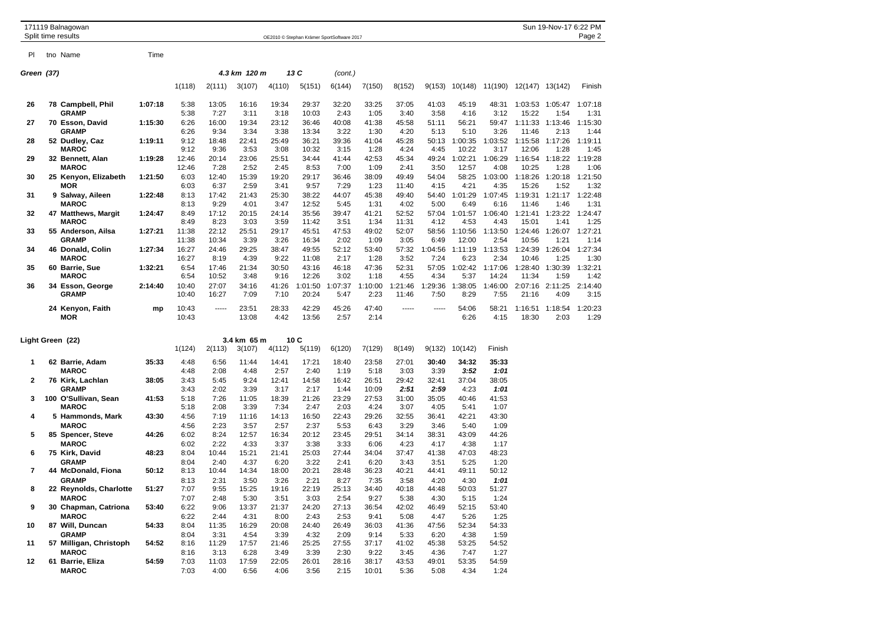|                | 171119 Balnagowan                                |         |                      |                       |                       |                       |                       |                                            |                        |                       |                       |                       |                       |                  | Sun 19-Nov-17 6:22 PM   |                 |
|----------------|--------------------------------------------------|---------|----------------------|-----------------------|-----------------------|-----------------------|-----------------------|--------------------------------------------|------------------------|-----------------------|-----------------------|-----------------------|-----------------------|------------------|-------------------------|-----------------|
|                | Split time results                               |         |                      |                       |                       |                       |                       | OE2010 © Stephan Krämer SportSoftware 2017 |                        |                       |                       |                       |                       |                  |                         | Page 2          |
| PI.            | tno Name                                         | Time    |                      |                       |                       |                       |                       |                                            |                        |                       |                       |                       |                       |                  |                         |                 |
| Green (37)     |                                                  |         |                      |                       | 4.3 km 120 m          |                       | 13 C                  | (cont.)                                    |                        |                       |                       |                       |                       |                  |                         |                 |
|                |                                                  |         | 1(118)               | 2(111)                | 3(107)                | 4(110)                | 5(151)                | 6(144)                                     | 7(150)                 | 8(152)                | 9(153)                | 10(148)               | 11(190)               | 12(147) 13(142)  |                         | Finish          |
| 26             | 78 Campbell, Phil<br><b>GRAMP</b>                | 1:07:18 | 5:38<br>5:38         | 13:05<br>7:27         | 16:16<br>3:11         | 19:34<br>3:18         | 29:37<br>10:03        | 32:20<br>2:43                              | 33:25<br>1:05          | 37:05<br>3:40         | 41:03<br>3:58         | 45:19<br>4:16         | 48:31<br>3:12         | 15:22            | 1:03:53 1:05:47<br>1:54 | 1:07:18<br>1:31 |
| 27             | 70 Esson, David<br><b>GRAMP</b>                  | 1:15:30 | 6:26<br>6:26         | 16:00<br>9:34         | 19:34<br>3:34         | 23:12<br>3:38         | 36:46<br>13:34        | 40:08<br>3:22                              | 41:38<br>1:30          | 45:58<br>4:20         | 51:11<br>5:13         | 56:21<br>5:10         | 59:47<br>3:26         | 1:11:33<br>11:46 | 1:13:46<br>2:13         | 1:15:30<br>1:44 |
| 28             | 52 Dudley, Caz<br><b>MAROC</b>                   | 1:19:11 | 9:12<br>9:12         | 18:48<br>9:36         | 22:41<br>3:53         | 25:49<br>3:08         | 36:21<br>10:32        | 39:36<br>3:15                              | 41:04<br>1:28          | 45:28<br>4:24         | 50:13<br>4:45         | 1:00:35<br>10:22      | 1:03:52<br>3:17       | 1:15:58<br>12:06 | 1:17:26<br>1:28         | 1:19:11<br>1:45 |
| 29             | 32 Bennett, Alan<br><b>MAROC</b>                 | 1:19:28 | 12:46<br>12:46       | 20:14<br>7:28         | 23:06<br>2:52         | 25:51<br>2:45         | 34:44<br>8:53         | 41:44<br>7:00                              | 42:53<br>1:09          | 45:34<br>2:41         | 49:24<br>3:50         | 1:02:21<br>12:57      | 1:06:29<br>4:08       | 1:16:54<br>10:25 | 1:18:22<br>1:28         | 1:19:28<br>1:06 |
| 30             | 25 Kenyon, Elizabeth<br><b>MOR</b>               | 1:21:50 | 6:03<br>6:03         | 12:40<br>6:37         | 15:39<br>2:59         | 19:20<br>3:41         | 29:17<br>9:57         | 36:46<br>7:29                              | 38:09<br>1:23          | 49:49<br>11:40        | 54:04<br>4:15         | 58:25<br>4:21         | 1:03:00<br>4:35       | 1:18:26<br>15:26 | 1:20:18<br>1:52         | 1:21:50<br>1:32 |
| 31             | 9 Salway, Aileen<br><b>MAROC</b>                 | 1:22:48 | 8:13<br>8:13         | 17:42<br>9:29         | 21:43<br>4:01         | 25:30<br>3:47         | 38:22<br>12:52        | 44:07<br>5:45                              | 45:38<br>1:31          | 49:40<br>4:02         | 54:40<br>5:00         | 1:01:29<br>6:49       | 1:07:45<br>6:16       | 1:19:31<br>11:46 | 1:21:17<br>1:46         | 1:22:48<br>1:31 |
| 32             | 47 Matthews, Margit<br><b>MAROC</b>              | 1:24:47 | 8:49<br>8:49         | 17:12<br>8:23         | 20:15<br>3:03         | 24:14<br>3:59         | 35:56<br>11:42        | 39:47<br>3:51                              | 41:21<br>1:34          | 52:52<br>11:31        | 57:04<br>4:12         | 1:01:57<br>4:53       | 1:06:40<br>4:43       | 1:21:41<br>15:01 | 1:23:22<br>1:41         | 1:24:47<br>1:25 |
| 33             | 55 Anderson, Ailsa<br><b>GRAMP</b>               | 1:27:21 | 11:38<br>11:38       | 22:12<br>10:34        | 25:51<br>3:39         | 29:17<br>3:26         | 45:51<br>16:34        | 47:53<br>2:02                              | 49:02<br>1:09          | 52:07<br>3:05         | 58:56<br>6:49         | 1:10:56<br>12:00      | 1:13:50<br>2:54       | 1:24:46<br>10:56 | 1:26:07<br>1:21         | 1:27:21<br>1:14 |
| 34             | 46 Donald, Colin<br><b>MAROC</b>                 | 1:27:34 | 16:27<br>16:27       | 24:46<br>8:19         | 29:25<br>4:39         | 38:47<br>9:22         | 49:55<br>11:08        | 52:12<br>2:17                              | 53:40<br>1:28          | 57:32<br>3:52         | 1:04:56<br>7:24       | 1:11:19<br>6:23       | 1:13:53<br>2:34       | 1:24:39<br>10:46 | 1:26:04<br>1:25         | 1:27:34<br>1:30 |
| 35             | 60 Barrie, Sue<br><b>MAROC</b>                   | 1:32:21 | 6:54<br>6:54         | 17:46<br>10:52        | 21:34<br>3:48         | 30:50<br>9:16         | 43:16<br>12:26        | 46:18<br>3:02                              | 47:36<br>1:18          | 52:31<br>4:55         | 57:05<br>4:34         | 1:02:42<br>5:37       | 1:17:06<br>14:24      | 1:28:40<br>11:34 | 1:30:39<br>1:59         | 1:32:21<br>1:42 |
| 36             | 34 Esson, George<br><b>GRAMP</b>                 | 2:14:40 | 10:40<br>10:40       | 27:07<br>16:27        | 34:16<br>7:09         | 41:26<br>7:10         | 1:01:50<br>20:24      | 1:07:37<br>5:47                            | 1:10:00<br>2:23        | 1:21:46<br>11:46      | 1:29:36<br>7:50       | 1:38:05<br>8:29       | 1:46:00<br>7:55       | 2:07:16<br>21:16 | 2:11:25<br>4:09         | 2:14:40<br>3:15 |
|                | 24 Kenyon, Faith<br><b>MOR</b>                   | mp      | 10:43<br>10:43       | -----                 | 23:51<br>13:08        | 28:33<br>4:42         | 42:29<br>13:56        | 45:26<br>2:57                              | 47:40<br>2:14          | -----                 | -----                 | 54:06<br>6:26         | 58:21<br>4:15         | 1:16:51<br>18:30 | 1:18:54<br>2:03         | 1:20:23<br>1:29 |
|                | Light Green (22)                                 |         | 1(124)               | 2(113)                | 3.4 km 65 m<br>3(107) | 4(112)                | 10 C<br>5(119)        | 6(120)                                     | 7(129)                 | 8(149)                | 9(132)                | 10(142)               | Finish                |                  |                         |                 |
| 1              | 62 Barrie, Adam                                  | 35:33   | 4:48                 | 6:56                  | 11:44                 | 14:41                 | 17:21                 | 18:40                                      | 23:58                  | 27:01                 | 30:40                 | 34:32                 | 35:33                 |                  |                         |                 |
| $\mathbf{2}$   | <b>MAROC</b><br>76 Kirk, Lachlan                 | 38:05   | 4:48<br>3:43         | 2:08<br>5:45          | 4:48<br>9:24          | 2:57<br>12:41         | 2:40<br>14:58         | 1:19<br>16:42                              | 5:18<br>26:51          | 3:03<br>29:42         | 3:39<br>32:41         | 3:52<br>37:04         | 1:01<br>38:05         |                  |                         |                 |
| 3              | <b>GRAMP</b><br>100 O'Sullivan, Sean             | 41:53   | 3:43<br>5:18         | 2:02<br>7:26          | 3:39<br>11:05         | 3:17<br>18:39         | 2:17<br>21:26         | 1:44<br>23:29                              | 10:09<br>27:53         | 2:51<br>31:00         | 2:59<br>35:05         | 4:23<br>40:46         | 1:01<br>41:53         |                  |                         |                 |
| 4              | <b>MAROC</b><br>5 Hammonds, Mark                 | 43:30   | 5:18<br>4:56         | 2:08<br>7:19          | 3:39<br>11:16         | 7:34<br>14:13         | 2:47<br>16:50         | 2:03<br>22:43                              | 4:24<br>29:26          | 3:07<br>32:55         | 4:05<br>36:41         | 5:41<br>42:21         | 1:07<br>43:30         |                  |                         |                 |
| 5              | <b>MAROC</b><br>85 Spencer, Steve                | 44:26   | 4:56<br>6:02         | 2:23<br>8:24          | 3:57<br>12:57         | 2:57<br>16:34         | 2:37<br>20:12         | 5:53<br>23:45                              | 6:43<br>29:51          | 3:29<br>34:14         | 3:46<br>38:31         | 5:40<br>43:09         | 1:09<br>44:26         |                  |                         |                 |
| 6              | <b>MAROC</b><br>75 Kirk, David                   | 48:23   | 6:02<br>8:04         | 2:22<br>10:44         | 4:33<br>15:21         | 3:37<br>21:41         | 3:38<br>25:03         | 3:33<br>27:44                              | 6:06<br>34:04          | 4:23<br>37:47         | 4:17<br>41:38         | 4:38<br>47:03         | 1:17<br>48:23         |                  |                         |                 |
| $\overline{7}$ | <b>GRAMP</b><br>44 McDonald, Fiona               | 50:12   | 8:04<br>8:13         | 2:40<br>10:44         | 4:37<br>14:34         | 6:20<br>18:00         | 3:22<br>20:21         | 2:41<br>28:48                              | 6:20<br>36:23          | 3:43<br>40:21         | 3:51<br>44:41         | 5:25<br>49:11         | 1:20<br>50:12         |                  |                         |                 |
| 8              | <b>GRAMP</b><br>22 Reynolds, Charlotte           | 51:27   | 8:13<br>7:07         | 2:31<br>9:55          | 3:50<br>15:25         | 3:26<br>19:16         | 2:21<br>22:19         | 8:27<br>25:13                              | 7:35<br>34:40          | 3:58<br>40:18         | 4:20<br>44:48         | 4:30<br>50:03         | 1:01<br>51:27         |                  |                         |                 |
| 9              | <b>MAROC</b><br>30 Chapman, Catriona             | 53:40   | 7:07<br>6:22         | 2:48<br>9:06          | 5:30<br>13:37         | 3:51<br>21:37         | 3:03<br>24:20         | 2:54<br>27:13                              | 9:27<br>36:54          | 5:38<br>42:02         | 4:30<br>46:49         | 5:15<br>52:15         | 1:24<br>53:40         |                  |                         |                 |
| 10             | <b>MAROC</b><br>87 Will, Duncan                  | 54:33   | 6:22<br>8:04         | 2:44<br>11:35         | 4:31<br>16:29         | 8:00<br>20:08         | 2:43<br>24:40         | 2:53<br>26:49                              | 9:41<br>36:03          | 5:08<br>41:36         | 4:47<br>47:56         | 5:26<br>52:34         | 1:25<br>54:33         |                  |                         |                 |
| 11             | <b>GRAMP</b><br>57 Milligan, Christoph           | 54:52   | 8:04<br>8:16         | 3:31<br>11:29         | 4:54<br>17:57         | 3:39<br>21:46         | 4:32<br>25:25         | 2:09<br>27:55                              | 9:14<br>37:17          | 5:33<br>41:02         | 6:20<br>45:38         | 4:38<br>53:25         | 1:59<br>54:52         |                  |                         |                 |
| 12             | <b>MAROC</b><br>61 Barrie, Eliza<br><b>MAROC</b> | 54:59   | 8:16<br>7:03<br>7:03 | 3:13<br>11:03<br>4:00 | 6:28<br>17:59<br>6:56 | 3:49<br>22:05<br>4:06 | 3:39<br>26:01<br>3:56 | 2:30<br>28:16<br>2:15                      | 9:22<br>38:17<br>10:01 | 3:45<br>43:53<br>5:36 | 4:36<br>49:01<br>5:08 | 7:47<br>53:35<br>4:34 | 1:27<br>54:59<br>1:24 |                  |                         |                 |
|                |                                                  |         |                      |                       |                       |                       |                       |                                            |                        |                       |                       |                       |                       |                  |                         |                 |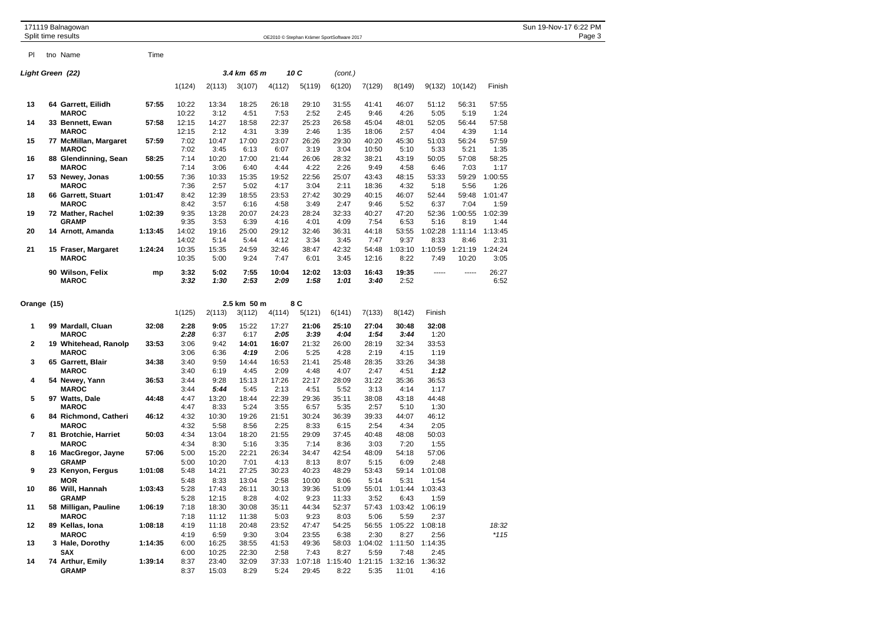|                  |  | 171119 Balnagowan<br>Split time results |         |                |                |                |               |                | OE2010 © Stephan Krämer SportSoftware 2017      |                |                               |                 |                  |                 | Sun 19-Nov-17 6:22 PM<br>Page 3 |
|------------------|--|-----------------------------------------|---------|----------------|----------------|----------------|---------------|----------------|-------------------------------------------------|----------------|-------------------------------|-----------------|------------------|-----------------|---------------------------------|
| PI.              |  | tno Name                                | Time    |                |                |                |               |                |                                                 |                |                               |                 |                  |                 |                                 |
| Light Green (22) |  |                                         |         |                |                | 3.4 km 65 m    |               | 10 C           | (cont.)                                         |                |                               |                 |                  |                 |                                 |
|                  |  |                                         |         | 1(124)         | 2(113)         | 3(107)         | 4(112)        | 5(119)         | 6(120)                                          | 7(129)         | 8(149)                        | 9(132)          | 10(142)          | Finish          |                                 |
| 13               |  | 64 Garrett, Eilidh<br><b>MAROC</b>      | 57:55   | 10:22<br>10:22 | 13:34<br>3:12  | 18:25<br>4:51  | 26:18<br>7:53 | 29:10<br>2:52  | 31:55<br>2:45                                   | 41:41<br>9:46  | 46:07<br>4:26                 | 51:12<br>5:05   | 56:31<br>5:19    | 57:55<br>1:24   |                                 |
| 14               |  | 33 Bennett, Ewan                        | 57:58   | 12:15          | 14:27          | 18:58          | 22:37         | 25:23          | 26:58                                           | 45:04          | 48:01                         | 52:05           | 56:44            | 57:58           |                                 |
| 15               |  | <b>MAROC</b><br>77 McMillan, Margaret   | 57:59   | 12:15<br>7:02  | 2:12<br>10:47  | 4:31<br>17:00  | 3:39<br>23:07 | 2:46<br>26:26  | 1:35<br>29:30                                   | 18:06<br>40:20 | 2:57<br>45:30                 | 4:04<br>51:03   | 4:39<br>56:24    | 1:14<br>57:59   |                                 |
| 16               |  | <b>MAROC</b><br>88 Glendinning, Sean    | 58:25   | 7:02<br>7:14   | 3:45<br>10:20  | 6:13<br>17:00  | 6:07<br>21:44 | 3:19<br>26:06  | 3:04<br>28:32                                   | 10:50<br>38:21 | 5:10<br>43:19                 | 5:33<br>50:05   | 5:21<br>57:08    | 1:35<br>58:25   |                                 |
| 17               |  | <b>MAROC</b><br>53 Newey, Jonas         | 1:00:55 | 7:14<br>7:36   | 3:06<br>10:33  | 6:40<br>15:35  | 4:44<br>19:52 | 4:22<br>22:56  | 2:26<br>25:07                                   | 9:49<br>43:43  | 4:58<br>48:15                 | 6:46<br>53:33   | 7:03<br>59:29    | 1:17<br>1:00:55 |                                 |
| 18               |  | <b>MAROC</b><br>66 Garrett, Stuart      | 1:01:47 | 7:36<br>8:42   | 2:57<br>12:39  | 5:02<br>18:55  | 4:17<br>23:53 | 3:04<br>27:42  | 2:11<br>30:29                                   | 18:36<br>40:15 | 4:32<br>46:07                 | 5:18<br>52:44   | 5:56<br>59:48    | 1:26<br>1:01:47 |                                 |
| 19               |  | <b>MAROC</b><br>72 Mather, Rachel       | 1:02:39 | 8:42<br>9:35   | 3:57<br>13:28  | 6:16<br>20:07  | 4:58<br>24:23 | 3:49<br>28:24  | 2:47<br>32:33                                   | 9:46<br>40:27  | 5:52<br>47:20                 | 6:37<br>52:36   | 7:04<br>1:00:55  | 1:59<br>1:02:39 |                                 |
|                  |  | <b>GRAMP</b>                            |         | 9:35           | 3:53           | 6:39           | 4:16          | 4:01           | 4:09                                            | 7:54           | 6:53                          | 5:16            | 8:19             | 1:44            |                                 |
| 20               |  | 14 Arnott, Amanda                       | 1:13:45 | 14:02<br>14:02 | 19:16<br>5:14  | 25:00<br>5:44  | 29:12<br>4:12 | 32:46<br>3:34  | 36:31<br>3:45                                   | 44:18<br>7:47  | 53:55<br>9:37                 | 1:02:28<br>8:33 | 1:11:14<br>8:46  | 1:13:45<br>2:31 |                                 |
| 21               |  | 15 Fraser, Margaret<br><b>MAROC</b>     | 1:24:24 | 10:35<br>10:35 | 15:35<br>5:00  | 24:59<br>9:24  | 32:46<br>7:47 | 38:47<br>6:01  | 42:32<br>3:45                                   | 54:48<br>12:16 | 1:03:10<br>8:22               | 1:10:59<br>7:49 | 1:21:19<br>10:20 | 1:24:24<br>3:05 |                                 |
|                  |  | 90 Wilson, Felix<br><b>MAROC</b>        | mp      | 3:32<br>3:32   | 5:02<br>1:30   | 7:55<br>2:53   | 10:04<br>2:09 | 12:02<br>1:58  | 13:03<br>1:01                                   | 16:43<br>3:40  | 19:35<br>2:52                 | -----           | -----            | 26:27<br>6:52   |                                 |
| Orange (15)      |  |                                         |         |                | 2.5 km 50 m    |                | 8 C           |                |                                                 |                |                               |                 |                  |                 |                                 |
|                  |  |                                         |         | 1(125)         | 2(113)         | 3(112)         | 4(114)        | 5(121)         | 6(141)                                          | 7(133)         | 8(142)                        | Finish          |                  |                 |                                 |
| 1                |  | 99 Mardall, Cluan<br><b>MAROC</b>       | 32:08   | 2:28<br>2:28   | 9:05<br>6:37   | 15:22<br>6:17  | 17:27<br>2:05 | 21:06<br>3:39  | 25:10<br>4:04                                   | 27:04<br>1:54  | 30:48<br>3:44                 | 32:08<br>1:20   |                  |                 |                                 |
| 2                |  | 19 Whitehead, Ranolp<br><b>MAROC</b>    | 33:53   | 3:06<br>3:06   | 9:42<br>6:36   | 14:01<br>4:19  | 16:07<br>2:06 | 21:32<br>5:25  | 26:00<br>4:28                                   | 28:19<br>2:19  | 32:34<br>4:15                 | 33:53<br>1:19   |                  |                 |                                 |
| 3                |  | 65 Garrett, Blair                       | 34:38   | 3:40           | 9:59           | 14:44          | 16:53         | 21:41          | 25:48                                           | 28:35          | 33:26                         | 34:38           |                  |                 |                                 |
| 4                |  | <b>MAROC</b><br>54 Newey, Yann          | 36:53   | 3:40<br>3:44   | 6:19<br>9:28   | 4:45<br>15:13  | 2:09<br>17:26 | 4:48<br>22:17  | 4:07<br>28:09                                   | 2:47<br>31:22  | 4:51<br>35:36                 | 1:12<br>36:53   |                  |                 |                                 |
| 5                |  | <b>MAROC</b><br>97 Watts, Dale          | 44:48   | 3:44<br>4:47   | 5:44<br>13:20  | 5:45<br>18:44  | 2:13<br>22:39 | 4:51<br>29:36  | 5:52<br>35:11                                   | 3:13<br>38:08  | 4:14<br>43:18                 | 1:17<br>44:48   |                  |                 |                                 |
|                  |  | <b>MAROC</b>                            |         | 4:47           | 8:33           | 5:24           | 3:55          | 6:57           | 5:35                                            | 2:57           | 5:10                          | 1:30            |                  |                 |                                 |
| 6                |  | 84 Richmond, Catheri<br><b>MAROC</b>    | 46:12   | 4:32<br>4:32   | 10:30<br>5:58  | 19:26<br>8:56  | 21:51<br>2:25 | 30:24<br>8:33  | 36:39<br>6:15                                   | 39:33<br>2:54  | 44:07<br>4:34                 | 46:12<br>2:05   |                  |                 |                                 |
| 7                |  | 81 Brotchie, Harriet                    | 50:03   | 4:34           | 13:04          | 18:20          | 21:55         | 29:09          | 37:45                                           | 40:48          | 48:08                         | 50:03           |                  |                 |                                 |
| 8                |  | <b>MAROC</b><br>16 MacGregor, Jayne     | 57:06   | 4:34<br>5:00   | 8:30<br>15:20  | 5:16<br>22:21  | 3:35<br>26:34 | 7:14<br>34:47  | 8:36<br>42:54                                   | 3:03<br>48:09  | 7:20<br>54:18                 | 1:55<br>57:06   |                  |                 |                                 |
|                  |  | <b>GRAMP</b>                            |         | 5:00           | 10:20          | 7:01           | 4:13          | 8:13           | 8:07                                            | 5:15           | 6:09                          | 2:48            |                  |                 |                                 |
| 9                |  | 23 Kenyon, Fergus                       | 1:01:08 | 5:48           | 14:21          | 27:25          | 30:23         | 40:23          | 48:29                                           | 53:43          | 59:14                         | 1:01:08         |                  |                 |                                 |
| 10               |  | MOR<br>86 Will, Hannah                  | 1:03:43 | 5:48<br>5:28   | 8:33<br>17:43  | 13:04<br>26:11 | 2:58<br>30:13 | 10:00<br>39:36 | 8:06<br>51:09                                   | 5:14<br>55:01  | 5:31<br>1:01:44 1:03:43       | 1:54            |                  |                 |                                 |
|                  |  | <b>GRAMP</b>                            |         | 5:28           | 12:15          | 8:28           | 4:02          | 9:23           | 11:33                                           | 3:52           | 6:43                          | 1:59            |                  |                 |                                 |
| 11               |  | 58 Milligan, Pauline                    | 1:06:19 | 7:18           | 18:30          | 30:08          | 35:11         | 44:34          | 52:37                                           |                | 57:43 1:03:42 1:06:19         |                 |                  |                 |                                 |
| 12               |  | <b>MAROC</b><br>89 Kellas, Iona         | 1:08:18 | 7:18<br>4:19   | 11:12<br>11:18 | 11:38<br>20:48 | 5:03<br>23:52 | 9:23<br>47:47  | 8:03<br>54:25                                   | 5:06           | 5:59<br>56:55 1:05:22 1:08:18 | 2:37            |                  | 18:32           |                                 |
|                  |  | <b>MAROC</b>                            |         | 4:19           | 6:59           | 9:30           | 3:04          | 23:55          | 6:38                                            | 2:30           | 8:27                          | 2:56            |                  | $*115$          |                                 |
| 13               |  | 3 Hale, Dorothy                         | 1:14:35 | 6:00           | 16:25          | 38:55          | 41:53         | 49:36          |                                                 |                | 58:03 1:04:02 1:11:50 1:14:35 |                 |                  |                 |                                 |
| 14               |  | SAX<br>74 Arthur, Emily                 | 1:39:14 | 6:00<br>8:37   | 10:25<br>23:40 | 22:30<br>32:09 | 2:58<br>37:33 | 7:43           | 8:27<br>1:07:18 1:15:40 1:21:15 1:32:16 1:36:32 | 5:59           | 7:48                          | 2:45            |                  |                 |                                 |
|                  |  | <b>GRAMP</b>                            |         | 8:37           | 15:03          | 8:29           | 5:24          | 29:45          | 8:22                                            | 5:35           | 11:01                         | 4:16            |                  |                 |                                 |